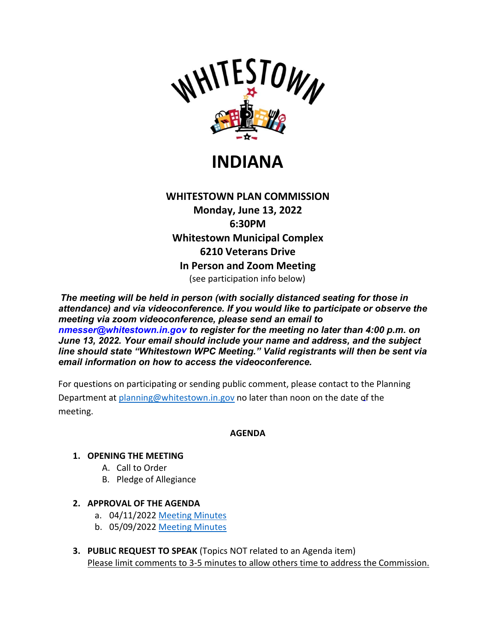

**INDIANA**

# **WHITESTOWN PLAN COMMISSION Monday, June 13, 2022 6:30PM Whitestown Municipal Complex 6210 Veterans Drive In Person and Zoom Meeting**

(see participation info below)

*The meeting will be held in person (with socially distanced seating for those in attendance) and via videoconference. If you would like to participate or observe the meeting via zoom videoconference, please send an email to nmesser@whitestown.in.gov to register for the meeting no later than 4:00 p.m. on June 13, 2022. Your email should include your name and address, and the subject line should state "Whitestown WPC Meeting." Valid registrants will then be sent via email information on how to access the videoconference.*

For questions on participating or sending public comment, please contact to the Planning Department a[t planning@whitestown.in.gov](mailto:planning@whitestown.in.gov) no later than noon on the date of the meeting.

## **AGENDA**

## **1. OPENING THE MEETING**

- A. Call to Order
- B. Pledge of Allegiance
- **2. APPROVAL OF THE AGENDA**
	- a. 04/11/202[2 Meeting Minutes](https://whitestown.in.gov/wp-content/uploads/2022/06/4-11-22-WPC-Meeting-Minutes.pdf)
	- b. 05/09/202[2 Meeting Minutes](https://whitestown.in.gov/wp-content/uploads/2022/06/05-09-22-WPC-Meeting-Minutes.pdf)
- **3. PUBLIC REQUEST TO SPEAK** (Topics NOT related to an Agenda item) Please limit comments to 3-5 minutes to allow others time to address the Commission.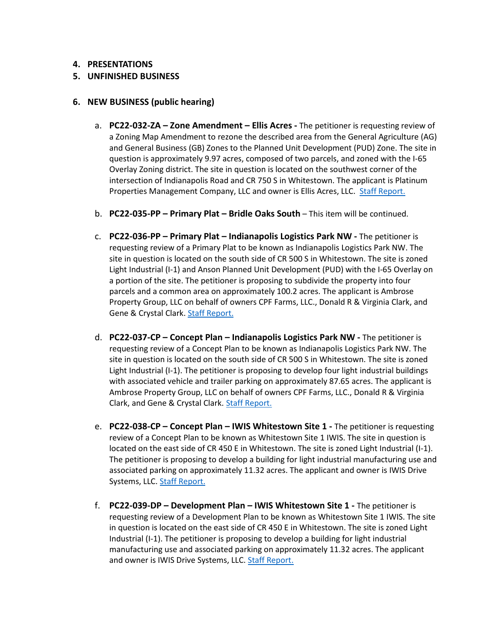#### **4. PRESENTATIONS**

#### **5. UNFINISHED BUSINESS**

#### **6. NEW BUSINESS (public hearing)**

- a. **PC22-032-ZA Zone Amendment Ellis Acres** The petitioner is requesting review of a Zoning Map Amendment to rezone the described area from the General Agriculture (AG) and General Business (GB) Zones to the Planned Unit Development (PUD) Zone. The site in question is approximately 9.97 acres, composed of two parcels, and zoned with the I-65 Overlay Zoning district. The site in question is located on the southwest corner of the intersection of Indianapolis Road and CR 750 S in Whitestown. The applicant is Platinum Properties Management Company, LLC and owner is Ellis Acres, LLC. Staff Report.
- b. **PC22-035-PP Primary Plat Bridle Oaks South** This item will be continued.
- c. **PC22-036-PP Primary Plat Indianapolis Logistics Park NW** The petitioner is requesting review of a Primary Plat to be known as Indianapolis Logistics Park NW. The site in question is located on the south side of CR 500 S in Whitestown. The site is zoned Light Industrial (I-1) and Anson Planned Unit Development (PUD) with the I-65 Overlay on a portion of the site. The petitioner is proposing to subdivide the property into four parcels and a common area on approximately 100.2 acres. The applicant is Ambrose Property Group, LLC on behalf of owners CPF Farms, LLC., Donald R & Virginia Clark, and Gene & Crystal Clark. [Staff Report.](https://whitestown.in.gov/wp-content/uploads/2022/06/PC22-036-PP-Staff-Report.pdf)
- d. **PC22-037-CP Concept Plan Indianapolis Logistics Park NW** The petitioner is requesting review of a Concept Plan to be known as Indianapolis Logistics Park NW. The site in question is located on the south side of CR 500 S in Whitestown. The site is zoned Light Industrial (I-1). The petitioner is proposing to develop four light industrial buildings with associated vehicle and trailer parking on approximately 87.65 acres. The applicant is Ambrose Property Group, LLC on behalf of owners CPF Farms, LLC., Donald R & Virginia Clark, and Gene & Crystal Clark. [Staff Report.](https://whitestown.in.gov/wp-content/uploads/2022/06/PC22-037-CP-Staff-Report.pdf)
- e. **PC22-038-CP Concept Plan IWIS Whitestown Site 1** The petitioner is requesting review of a Concept Plan to be known as Whitestown Site 1 IWIS. The site in question is located on the east side of CR 450 E in Whitestown. The site is zoned Light Industrial (I-1). The petitioner is proposing to develop a building for light industrial manufacturing use and associated parking on approximately 11.32 acres. The applicant and owner is IWIS Drive Systems, LLC. [Staff Report.](https://whitestown.in.gov/wp-content/uploads/2022/06/PC22-038-CP-Staff-Report.pdf)
- f. **PC22-039-DP Development Plan IWIS Whitestown Site 1** The petitioner is requesting review of a Development Plan to be known as Whitestown Site 1 IWIS. The site in question is located on the east side of CR 450 E in Whitestown. The site is zoned Light Industrial (I-1). The petitioner is proposing to develop a building for light industrial manufacturing use and associated parking on approximately 11.32 acres. The applicant and owner is IWIS Drive Systems, LLC. [Staff Report.](https://whitestown.in.gov/wp-content/uploads/2022/06/PC22-039-DP-Staff-Report.pdf)